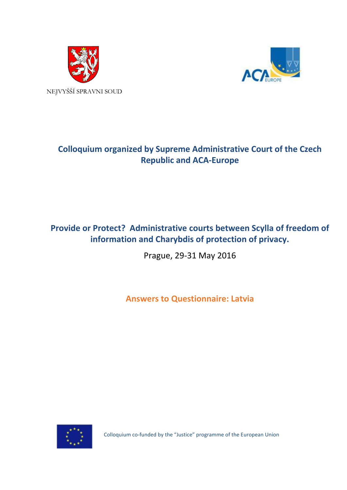



# **Colloquium organized by Supreme Administrative Court of the Czech Republic and ACA-Europe**

## **Provide or Protect? Administrative courts between Scylla of freedom of information and Charybdis of protection of privacy.**

Prague, 29-31 May 2016

**Answers to Questionnaire: Latvia**



Colloquium co-funded by the "Justice" programme of the European Union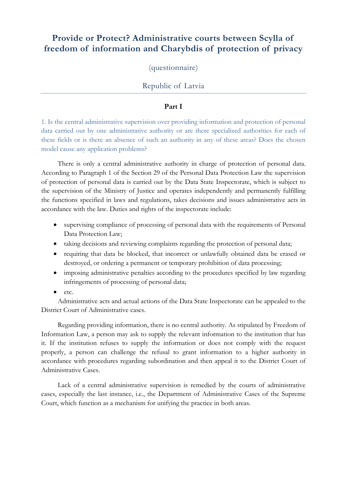## **Provide or Protect? Administrative courts between Scylla of freedom of information and Charybdis of protection of privacy**

(questionnaire)

## Republic of Latvia

### **Part I**

1. Is the central administrative supervision over providing information and protection of personal data carried out by one administrative authority or are there specialized authorities for each of these fields or is there an absence of such an authority in any of these areas? Does the chosen model cause any application problems?

There is only a central administrative authority in charge of protection of personal data. According to Paragraph 1 of the Section 29 of the Personal Data Protection Law the supervision of protection of personal data is carried out by the Data State Inspectorate, which is subject to the supervision of the Ministry of Justice and operates independently and permanently fulfilling the functions specified in laws and regulations, takes decisions and issues administrative acts in accordance with the law. Duties and rights of the inspectorate include:

- supervising compliance of processing of personal data with the requirements of Personal Data Protection Law;
- taking decisions and reviewing complaints regarding the protection of personal data;
- requiring that data be blocked, that incorrect or unlawfully obtained data be erased or destroyed, or ordering a permanent or temporary prohibition of data processing;
- imposing administrative penalties according to the procedures specified by law regarding infringements of processing of personal data;
- etc.

Administrative acts and actual actions of the Data State Inspectorate can be appealed to the District Court of Administrative cases.

Regarding providing information, there is no central authority. As stipulated by Freedom of Information Law, a person may ask to supply the relevant information to the institution that has it. If the institution refuses to supply the information or does not comply with the request properly, a person can challenge the refusal to grant information to a higher authority in accordance with procedures regarding subordination and then appeal it to the District Court of Administrative Cases.

Lack of a central administrative supervision is remedied by the courts of administrative cases, especially the last instance, i.e., the Department of Administrative Cases of the Supreme Court, which function as a mechanism for unifying the practice in both areas.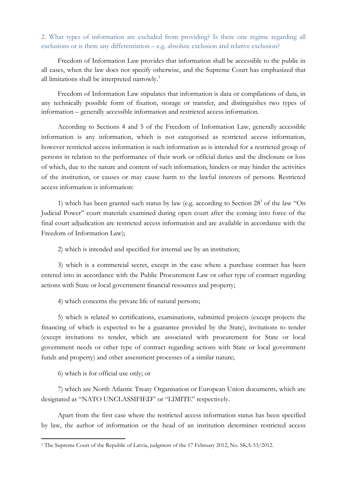### 2. What types of information are excluded from providing? Is there one regime regarding all exclusions or is there any differentiation – e.g. absolute exclusion and relative exclusion?

Freedom of Information Law provides that information shall be accessible to the public in all cases, when the law does not specify otherwise, and the Supreme Court has emphasized that all limitations shall be interpreted narrowly.<sup>[1](#page-2-0)</sup>

Freedom of Information Law stipulates that information is data or compilations of data, in any technically possible form of fixation, storage or transfer, and distinguishes two types of information – generally accessible information and restricted access information.

According to Sections 4 and 5 of the Freedom of Information Law, generally accessible information is any information, which is not categorised as restricted access information, however restricted access information is such information as is intended for a restricted group of persons in relation to the performance of their work or official duties and the disclosure or loss of which, due to the nature and content of such information, hinders or may hinder the activities of the institution, or causes or may cause harm to the lawful interests of persons. Restricted access information is information:

1) which has been granted such status by law (e.g. according to Section  $28<sup>3</sup>$  of the law "On" Judicial Power" court materials examined during open court after the coming into force of the final court adjudication are restricted access information and are available in accordance with the Freedom of Information Law);

2) which is intended and specified for internal use by an institution;

3) which is a commercial secret, except in the case where a purchase contract has been entered into in accordance with the Public Procurement Law or other type of contract regarding actions with State or local government financial resources and property;

4) which concerns the private life of natural persons;

5) which is related to certifications, examinations, submitted projects (except projects the financing of which is expected to be a guarantee provided by the State), invitations to tender (except invitations to tender, which are associated with procurement for State or local government needs or other type of contract regarding actions with State or local government funds and property) and other assessment processes of a similar nature;

6) which is for official use only; or

7) which are North Atlantic Treaty Organisation or European Union documents, which are designated as "NATO UNCLASSIFIED" or "LIMITE" respectively.

Apart from the first case where the restricted access information status has been specified by law, the author of information or the head of an institution determines restricted access

<span id="page-2-0"></span><sup>&</sup>lt;sup>1</sup> The Supreme Court of the Republic of Latvia, judgment of the 17 February 2012, No. SKA-53/2012.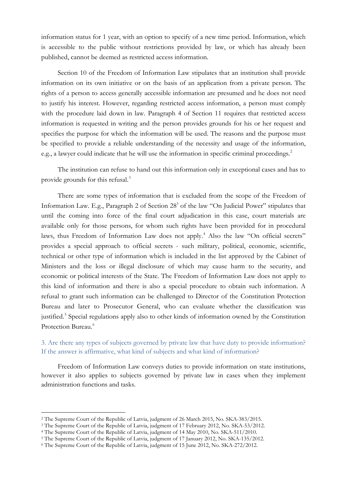information status for 1 year, with an option to specify of a new time period. Information, which is accessible to the public without restrictions provided by law, or which has already been published, cannot be deemed as restricted access information.

Section 10 of the Freedom of Information Law stipulates that an institution shall provide information on its own initiative or on the basis of an application from a private person. The rights of a person to access generally accessible information are presumed and he does not need to justify his interest. However, regarding restricted access information, a person must comply with the procedure laid down in law. Paragraph 4 of Section 11 requires that restricted access information is requested in writing and the person provides grounds for his or her request and specifies the purpose for which the information will be used. The reasons and the purpose must be specified to provide a reliable understanding of the necessity and usage of the information, e.g., a lawyer could indicate that he will use the information in specific criminal proceedings. [2](#page-3-0)

The institution can refuse to hand out this information only in exceptional cases and has to provide grounds for this refusal.[3](#page-3-1)

There are some types of information that is excluded from the scope of the Freedom of Information Law. E.g., Paragraph 2 of Section 28<sup>3</sup> of the law "On Judicial Power" stipulates that until the coming into force of the final court adjudication in this case, court materials are available only for those persons, for whom such rights have been provided for in procedural laws, thus Freedom of Information Law does not apply.<sup>[4](#page-3-2)</sup> Also the law "On official secrets" provides a special approach to official secrets - such military, political, economic, scientific, technical or other type of information which is included in the list approved by the Cabinet of Ministers and the loss or illegal disclosure of which may cause harm to the security, and economic or political interests of the State. The Freedom of Information Law does not apply to this kind of information and there is also a special procedure to obtain such information. A refusal to grant such information can be challenged to Director of the Constitution Protection Bureau and later to Prosecutor General, who can evaluate whether the classification was justified.<sup>[5](#page-3-3)</sup> Special regulations apply also to other kinds of information owned by the Constitution Protection Bureau.<sup>[6](#page-3-4)</sup>

3. Are there any types of subjects governed by private law that have duty to provide information? If the answer is affirmative, what kind of subjects and what kind of information?

Freedom of Information Law conveys duties to provide information on state institutions, however it also applies to subjects governed by private law in cases when they implement administration functions and tasks.

<span id="page-3-1"></span><span id="page-3-0"></span><sup>&</sup>lt;sup>2</sup> The Supreme Court of the Republic of Latvia, judgment of 26 March 2015, No. SKA-383/2015.<br><sup>3</sup> The Supreme Court of the Republic of Latvia, judgment of 17 February 2012, No. SKA-53/2012.

<span id="page-3-3"></span><span id="page-3-2"></span><sup>&</sup>lt;sup>4</sup> The Supreme Court of the Republic of Latvia, judgment of 14 May 2010, No. SKA-511/2010.<br><sup>5</sup> The Supreme Court of the Republic of Latvia, judgment of 17 January 2012, No. SKA-135/2012.<br><sup>6</sup> The Supreme Court of the Repub

<span id="page-3-4"></span>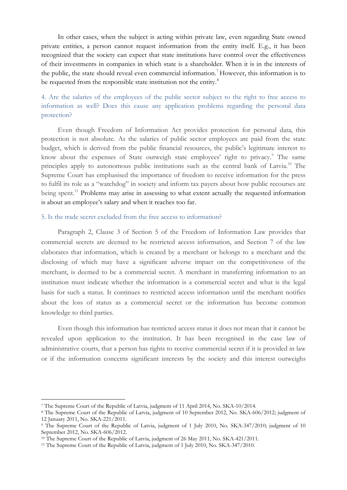In other cases, when the subject is acting within private law, even regarding State owned private entities, a person cannot request information from the entity itself. E.g., it has been recognized that the society can expect that state institutions have control over the effectiveness of their investments in companies in which state is a shareholder. When it is in the interests of the public, the state should reveal even commercial information.<sup>[7](#page-4-0)</sup> However, this information is to be requested from the responsible state institution not the entity.<sup>[8](#page-4-1)</sup>

## 4. Are the salaries of the employees of the public sector subject to the right to free access to information as well? Does this cause any application problems regarding the personal data protection?

Even though Freedom of Information Act provides protection for personal data, this protection is not absolute. As the salaries of public sector employees are paid from the state budget, which is derived from the public financial resources, the public's legitimate interest to know about the expenses of State outweigh state employees' right to privacy.<sup>[9](#page-4-2)</sup> The same principles apply to autonomous public institutions such as the central bank of Latvia.<sup>[10](#page-4-3)</sup> The Supreme Court has emphasised the importance of freedom to receive information for the press to fulfil its role as a "watchdog" in society and inform tax payers about how public recourses are being spent.<sup>[11](#page-4-4)</sup> Problems may arise in assessing to what extent actually the requested information is about an employee's salary and when it reaches too far.

#### 5. Is the trade secret excluded from the free access to information?

Paragraph 2, Clause 3 of Section 5 of the Freedom of Information Law provides that commercial secrets are deemed to be restricted access information, and Section 7 of the law elaborates that information, which is created by a merchant or belongs to a merchant and the disclosing of which may have a significant adverse impact on the competitiveness of the merchant, is deemed to be a commercial secret. A merchant in transferring information to an institution must indicate whether the information is a commercial secret and what is the legal basis for such a status. It continues to restricted access information until the merchant notifies about the loss of status as a commercial secret or the information has become common knowledge to third parties.

Even though this information has restricted access status it does not mean that it cannot be revealed upon application to the institution. It has been recognised in the case law of administrative courts, that a person has rights to receive commercial secret if it is provided in law or if the information concerns significant interests by the society and this interest outweighs

<span id="page-4-1"></span><span id="page-4-0"></span><sup>7</sup> The Supreme Court of the Republic of Latvia, judgment of 11 April 2014, No. SKA-10/2014. 8 The Supreme Court of the Republic of Latvia, judgment of 10 September 2012, No. SKA-606/2012; judgment of 12 January 2011, No. SKA-221/2011.

<span id="page-4-2"></span><sup>9</sup> The Supreme Court of the Republic of Latvia, judgment of 1 July 2010, No. SKA-347/2010; judgment of 10 September 2012, No. SKA-606/2012.

<span id="page-4-3"></span><sup>&</sup>lt;sup>10</sup> The Supreme Court of the Republic of Latvia, judgment of 26 May 2011, No. SKA-421/2011.

<span id="page-4-4"></span><sup>11</sup> The Supreme Court of the Republic of Latvia, judgment of 1 July 2010, No. SKA-347/2010.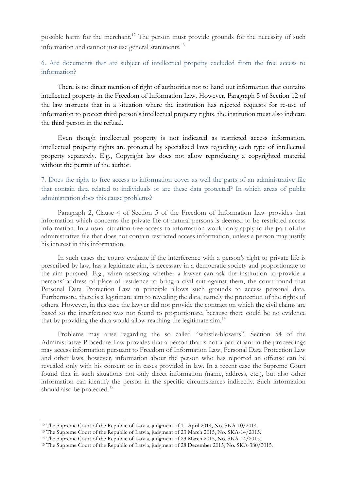possible harm for the merchant.[12](#page-5-0) The person must provide grounds for the necessity of such information and cannot just use general statements.<sup>[13](#page-5-1)</sup>

## 6. Are documents that are subject of intellectual property excluded from the free access to information?

There is no direct mention of right of authorities not to hand out information that contains intellectual property in the Freedom of Information Law. However, Paragraph 5 of Section 12 of the law instructs that in a situation where the institution has rejected requests for re-use of information to protect third person's intellectual property rights, the institution must also indicate the third person in the refusal.

Even though intellectual property is not indicated as restricted access information, intellectual property rights are protected by specialized laws regarding each type of intellectual property separately. E.g., Copyright law does not allow reproducing a copyrighted material without the permit of the author.

## 7. Does the right to free access to information cover as well the parts of an administrative file that contain data related to individuals or are these data protected? In which areas of public administration does this cause problems?

Paragraph 2, Clause 4 of Section 5 of the Freedom of Information Law provides that information which concerns the private life of natural persons is deemed to be restricted access information. In a usual situation free access to information would only apply to the part of the administrative file that does not contain restricted access information, unless a person may justify his interest in this information.

In such cases the courts evaluate if the interference with a person's right to private life is prescribed by law, has a legitimate aim, is necessary in a democratic society and proportionate to the aim pursued. E.g., when assessing whether a lawyer can ask the institution to provide a persons' address of place of residence to bring a civil suit against them, the court found that Personal Data Protection Law in principle allows such grounds to access personal data. Furthermore, there is a legitimate aim to revealing the data, namely the protection of the rights of others. However, in this case the lawyer did not provide the contract on which the civil claims are based so the interference was not found to proportionate, because there could be no evidence that by providing the data would allow reaching the legitimate aim.<sup>[14](#page-5-2)</sup>

Problems may arise regarding the so called "whistle-blowers". Section 54 of the Administrative Procedure Law provides that a person that is not a participant in the proceedings may access information pursuant to Freedom of Information Law, Personal Data Protection Law and other laws, however, information about the person who has reported an offense can be revealed only with his consent or in cases provided in law. In a recent case the Supreme Court found that in such situations not only direct information (name, address, etc.), but also other information can identify the person in the specific circumstances indirectly. Such information should also be protected.<sup>[15](#page-5-3)</sup>

<span id="page-5-0"></span> <sup>12</sup> The Supreme Court of the Republic of Latvia, judgment of 11 April 2014, No. SKA-10/2014.

<span id="page-5-1"></span><sup>13</sup> The Supreme Court of the Republic of Latvia, judgment of 23 March 2015, No. SKA-14/2015.

<span id="page-5-2"></span><sup>14</sup> The Supreme Court of the Republic of Latvia, judgment of 23 March 2015, No. SKA-14/2015.

<span id="page-5-3"></span><sup>15</sup> The Supreme Court of the Republic of Latvia, judgment of 28 December 2015, No. SKA-380/2015.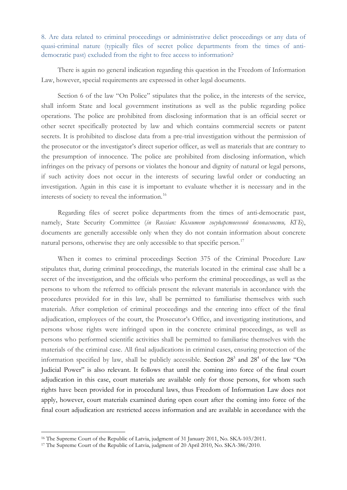8. Are data related to criminal proceedings or administrative delict proceedings or any data of quasi-criminal nature (typically files of secret police departments from the times of antidemocratic past) excluded from the right to free access to information?

There is again no general indication regarding this question in the Freedom of Information Law, however, special requirements are expressed in other legal documents.

Section 6 of the law "On Police" stipulates that the police, in the interests of the service, shall inform State and local government institutions as well as the public regarding police operations. The police are prohibited from disclosing information that is an official secret or other secret specifically protected by law and which contains commercial secrets or patent secrets. It is prohibited to disclose data from a pre-trial investigation without the permission of the prosecutor or the investigator's direct superior officer, as well as materials that are contrary to the presumption of innocence. The police are prohibited from disclosing information, which infringes on the privacy of persons or violates the honour and dignity of natural or legal persons, if such activity does not occur in the interests of securing lawful order or conducting an investigation. Again in this case it is important to evaluate whether it is necessary and in the interests of society to reveal the information.[16](#page-6-0)

Regarding files of secret police departments from the times of anti-democratic past, namely, State Security Committee (*in Russian: Комитет государственной безопасности, КГБ*), documents are generally accessible only when they do not contain information about concrete natural persons, otherwise they are only accessible to that specific person.<sup>[17](#page-6-1)</sup>

When it comes to criminal proceedings Section 375 of the Criminal Procedure Law stipulates that, during criminal proceedings, the materials located in the criminal case shall be a secret of the investigation, and the officials who perform the criminal proceedings, as well as the persons to whom the referred to officials present the relevant materials in accordance with the procedures provided for in this law, shall be permitted to familiarise themselves with such materials. After completion of criminal proceedings and the entering into effect of the final adjudication, employees of the court, the Prosecutor's Office, and investigating institutions, and persons whose rights were infringed upon in the concrete criminal proceedings, as well as persons who performed scientific activities shall be permitted to familiarise themselves with the materials of the criminal case. All final adjudications in criminal cases, ensuring protection of the information specified by law, shall be publicly accessible. Section  $28<sup>3</sup>$  and  $28<sup>4</sup>$  of the law "On Judicial Power" is also relevant. It follows that until the coming into force of the final court adjudication in this case, court materials are available only for those persons, for whom such rights have been provided for in procedural laws, thus Freedom of Information Law does not apply, however, court materials examined during open court after the coming into force of the final court adjudication are restricted access information and are available in accordance with the

<span id="page-6-0"></span><sup>&</sup>lt;sup>16</sup> The Supreme Court of the Republic of Latvia, judgment of 31 January 2011, No. SKA-103/2011.

<span id="page-6-1"></span><sup>&</sup>lt;sup>17</sup> The Supreme Court of the Republic of Latvia, judgment of 20 April 2010, No. SKA-386/2010.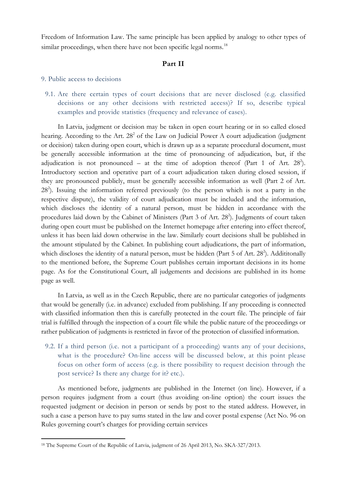Freedom of Information Law. The same principle has been applied by analogy to other types of similar proceedings, when there have not been specific legal norms.<sup>[18](#page-7-0)</sup>

#### **Part II**

#### 9. Public access to decisions

9.1. Are there certain types of court decisions that are never disclosed (e.g. classified decisions or any other decisions with restricted access)? If so, describe typical examples and provide statistics (frequency and relevance of cases).

In Latvia, judgment or decision may be taken in open court hearing or in so called closed hearing. According to the Art.  $28<sup>2</sup>$  of the Law on Judicial Power A court adjudication (judgment or decision) taken during open court, which is drawn up as a separate procedural document, must be generally accessible information at the time of pronouncing of adjudication, but, if the adjudication is not pronounced – at the time of adoption thereof (Part 1 of Art.  $28^2$ ). Introductory section and operative part of a court adjudication taken during closed session, if they are pronounced publicly, must be generally accessible information as well (Part 2 of Art. 282 ). Issuing the information referred previously (to the person which is not a party in the respective dispute), the validity of court adjudication must be included and the information, which discloses the identity of a natural person, must be hidden in accordance with the procedures laid down by the Cabinet of Ministers (Part 3 of Art. 28<sup>2</sup>). Judgments of court taken during open court must be published on the Internet homepage after entering into effect thereof, unless it has been laid down otherwise in the law. Similarly court decisions shall be published in the amount stipulated by the Cabinet. In publishing court adjudications, the part of information, which discloses the identity of a natural person, must be hidden (Part 5 of Art. 28<sup>2</sup>). Addititonally to the mentioned before, the Supreme Court publishes certain important decisions in its home page. As for the Constitutional Court, all judgements and decisions are published in its home page as well.

In Latvia, as well as in the Czech Republic, there are no particular categories of judgments that would be generally (i.e. in advance) excluded from publishing. If any proceeding is connected with classified information then this is carefully protected in the court file. The principle of fair trial is fulfilled through the inspection of a court file while the public nature of the proceedings or rather publication of judgments is restricted in favor of the protection of classified information.

9.2. If a third person (i.e. not a participant of a proceeding) wants any of your decisions, what is the procedure? On-line access will be discussed below, at this point please focus on other form of access (e.g. is there possibility to request decision through the post service? Is there any charge for it? etc.).

As mentioned before, judgments are published in the Internet (on line). However, if a person requires judgment from a court (thus avoiding on-line option) the court issues the requested judgment or decision in person or sends by post to the stated address. However, in such a case a person have to pay sums stated in the law and cover postal expense (Act No. 96 on Rules governing court's charges for providing certain services

<span id="page-7-0"></span> <sup>18</sup> The Supreme Court of the Republic of Latvia, judgment of 26 April 2013, No. SKA-327/2013.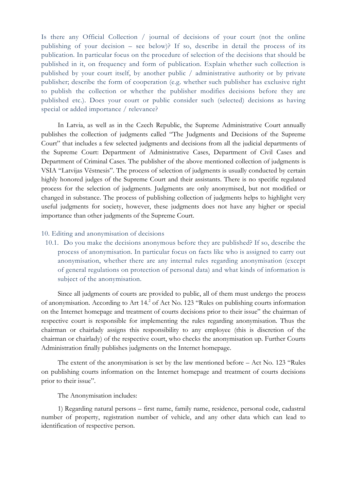Is there any Official Collection / journal of decisions of your court (not the online publishing of your decision – see below)? If so, describe in detail the process of its publication. In particular focus on the procedure of selection of the decisions that should be published in it, on frequency and form of publication. Explain whether such collection is published by your court itself, by another public / administrative authority or by private publisher; describe the form of cooperation (e.g. whether such publisher has exclusive right to publish the collection or whether the publisher modifies decisions before they are published etc.). Does your court or public consider such (selected) decisions as having special or added importance / relevance?

In Latvia, as well as in the Czech Republic, the Supreme Administrative Court annually publishes the collection of judgments called "The Judgments and Decisions of the Supreme Court" that includes a few selected judgments and decisions from all the judicial departments of the Supreme Court: Department of Administrative Cases, Department of Civil Cases and Department of Criminal Cases. The publisher of the above mentioned collection of judgments is VSIA "Latvijas Vēstnesis". The process of selection of judgments is usually conducted by certain highly honored judges of the Supreme Court and their assistants. There is no specific regulated process for the selection of judgments. Judgments are only anonymised, but not modified or changed in substance. The process of publishing collection of judgments helps to highlight very useful judgments for society, however, these judgments does not have any higher or special importance than other judgments of the Supreme Court.

#### 10. Editing and anonymisation of decisions

10.1. Do you make the decisions anonymous before they are published? If so, describe the process of anonymisation. In particular focus on facts like who is assigned to carry out anonymisation, whether there are any internal rules regarding anonymisation (except of general regulations on protection of personal data) and what kinds of information is subject of the anonymisation.

Since all judgments of courts are provided to public, all of them must undergo the process of anonymisation. According to Art 14.<sup>2</sup> of Act No. 123 "Rules on publishing courts information on the Internet homepage and treatment of courts decisions prior to their issue" the chairman of respective court is responsible for implementing the rules regarding anonymisation. Thus the chairman or chairlady assigns this responsibility to any employee (this is discretion of the chairman or chairlady) of the respective court, who checks the anonymisation up. Further Courts Administration finally publishes judgments on the Internet homepage.

The extent of the anonymisation is set by the law mentioned before – Act No. 123 "Rules on publishing courts information on the Internet homepage and treatment of courts decisions prior to their issue".

The Anonymisation includes:

1) Regarding natural persons – first name, family name, residence, personal code, cadastral number of property, registration number of vehicle, and any other data which can lead to identification of respective person.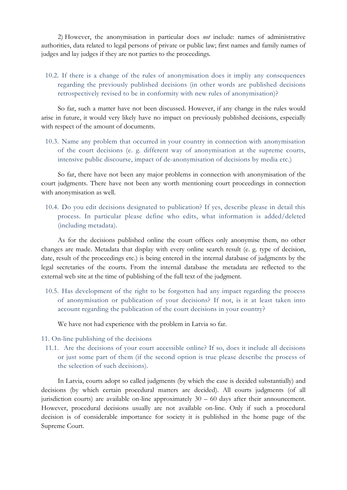2) However, the anonymisation in particular does *not* include: names of administrative authorities, data related to legal persons of private or public law; first names and family names of judges and lay judges if they are not parties to the proceedings*.* 

10.2. If there is a change of the rules of anonymisation does it impliy any consequences regarding the previously published decisions (in other words are published decisions retrospectively revised to be in conformity with new rules of anonymisation)?

So far, such a matter have not been discussed. However, if any change in the rules would arise in future, it would very likely have no impact on previously published decisions, especially with respect of the amount of documents.

10.3. Name any problem that occurred in your country in connection with anonymisation of the court decisions (e. g. different way of anonymisation at the supreme courts, intensive public discourse, impact of de-anonymisation of decisions by media etc.)

So far, there have not been any major problems in connection with anonymisation of the court judgments. There have not been any worth mentioning court proceedings in connection with anonymisation as well.

10.4. Do you edit decisions designated to publication? If yes, describe please in detail this process. In particular please define who edits, what information is added/deleted (including metadata).

As for the decisions published online the court offices only anonymise them, no other changes are made. Metadata that display with every online search result (e. g. type of decision, date, result of the proceedings etc.) is being entered in the internal database of judgments by the legal secretaries of the courts. From the internal database the metadata are reflected to the external web site at the time of publishing of the full text of the judgment.

10.5. Has development of the right to be forgotten had any impact regarding the process of anonymisation or publication of your decisions? If not, is it at least taken into account regarding the publication of the court decisions in your country?

We have not had experience with the problem in Latvia so far.

11. On-line publishing of the decisions

11.1. Are the decisions of your court accessible online? If so, does it include all decisions or just some part of them (if the second option is true please describe the process of the selection of such decisions).

In Latvia, courts adopt so called judgments (by which the case is decided substantially) and decisions (by which certain procedural matters are decided). All courts judgments (of all jurisdiction courts) are available on-line approximately  $30 - 60$  days after their announcement. However, procedural decisions usually are not available on-line. Only if such a procedural decision is of considerable importance for society it is published in the home page of the Supreme Court.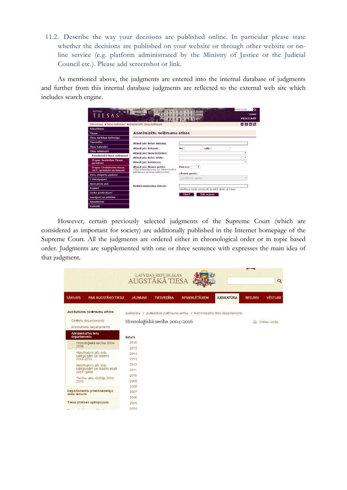11.2. Describe the way your decisions are published online. In particular please state whether the decisions are published on your website or through other website or online service (e.g. platform administrated by the Ministry of Justice or the Judicial Council etc.). Please add screenshot or link.

As mentioned above, the judgments are entered into the internal database of judgments and further from this internal database judgments are reflected to the external web site which includes search engine.

|                                                           |                                                                                                        |                                                         | <b>VIEGLI LASIT</b> |
|-----------------------------------------------------------|--------------------------------------------------------------------------------------------------------|---------------------------------------------------------|---------------------|
| Sākumlapa ▶Tiesu nolēmumi ▶Anonimizēti tiesu nolēmumi     |                                                                                                        |                                                         | <b>ALL</b>          |
| <b>Aktualitätes</b>                                       |                                                                                                        |                                                         |                     |
| <b>Tiesas</b>                                             | Anonimizētu nolēmumu atlase                                                                            |                                                         |                     |
| Tiesu darbības teritorijas                                |                                                                                                        |                                                         |                     |
| <b>Tiesvedība</b>                                         | Atlasit pēc lietas numura:                                                                             |                                                         |                     |
| Tiesu kalendāri                                           | Atlasit pec datuma:                                                                                    | No:<br>Lidz:                                            |                     |
| Tiesu nolēmumi                                            | Atlasit pēc tiesu iestādes:                                                                            |                                                         | ۰                   |
| Anonimizēti tiesu nolēmumi                                | Atlasit pec lietas veida:                                                                              |                                                         | ۰                   |
| <b>Eiropas Savienibas Tiesas</b><br>spriedumi             | <b>Atlasit pec instances:</b>                                                                          |                                                         | ۰                   |
| Eiropas Cilvēktiesību tiesas<br>(ECT) spriedumi un lēmumi | Atlasit pec likuma panta:<br>(Tikai Kriminālprocesa un Administratīvo<br>pārkāpumu procesa nolēmumiem) | Process:<br>۰                                           |                     |
| Tiesu ekspertu padome                                     |                                                                                                        | Likuma pants:                                           |                     |
| E-Pakalpojumi                                             |                                                                                                        | Izvēlēties pantu                                        |                     |
| Normativie akti                                           | Meklét nolémuma tekstá:                                                                                |                                                         |                     |
| Projekti                                                  |                                                                                                        | Meklēšana notiek precīzi pēc ievadītā vārda vai frāzes. |                     |
| Darba piedāvājumi                                         |                                                                                                        | Säkt no jauna<br><b>Atlasit</b>                         |                     |
| Jautăjumi un atbildes.                                    |                                                                                                        |                                                         |                     |
| <b>Atsauksmes</b>                                         |                                                                                                        |                                                         |                     |
| Kontakti                                                  |                                                                                                        |                                                         |                     |

However, certain previously selected judgments of the Supreme Court (which are considered as important for society) are additionally published in the Internet homepage of the Supreme Court. All the judgments are ordered either in chronological order or in topic based order. Judgments are supplemented with one or three sentence with expresses the main idea of that judgment.

|                                                                      |                               | <b>LATVIJAS REPUBLIKAS</b><br><b>AUGSTĀKĀ TIESA</b> |                      |                                                                              |                | Q              |
|----------------------------------------------------------------------|-------------------------------|-----------------------------------------------------|----------------------|------------------------------------------------------------------------------|----------------|----------------|
| <b>SÄKUMS</b><br><b>PAR AUGSTÄKO TIESU</b>                           | <b>JAUNUMI</b>                | <b>TIESVEDIBA</b>                                   | <b>APMEKLĒTĀJIEM</b> | <b>JUDIKATŪRA</b>                                                            | <b>RESURSI</b> | <b>VESTURE</b> |
| Judikatūras nolēmumu arhīvs                                          |                               |                                                     |                      | Judikatūra / Judikatūras nolēmumu arhīvs / Administratīvo lietu departaments |                |                |
| Civillietu departaments<br>Krimināllietu departaments                | Hronoloģiskā secība 2004-2016 |                                                     |                      |                                                                              | e              | Drukas versija |
| Administratīvo lietu<br>departaments                                 | <b>Saturs</b>                 |                                                     |                      |                                                                              |                |                |
| Hronoloģiskā secība 2004-<br>2016                                    | 2016<br>2015                  |                                                     |                      |                                                                              |                |                |
| Klasifikators pēc lietu<br>kategorijām (ar tēzēm)<br>2004-2016       | 2014<br>2013                  |                                                     |                      |                                                                              |                |                |
| Klasifikators pēc lietu<br>kategorijām (ar tēzēm) kopš<br>2004. gáda | 2012<br>2011                  |                                                     |                      |                                                                              |                |                |
| Tiesību aktu rādītājs 2012-<br>2016                                  | 2010<br>2009                  |                                                     |                      |                                                                              |                |                |
| Departamentu priekšsēdētāju<br>sēžu lēmumi                           | 2008<br>2007<br>2006          |                                                     |                      |                                                                              |                |                |
| Tiesu prakses apkopojumi                                             | 2005<br>2004                  |                                                     |                      |                                                                              |                |                |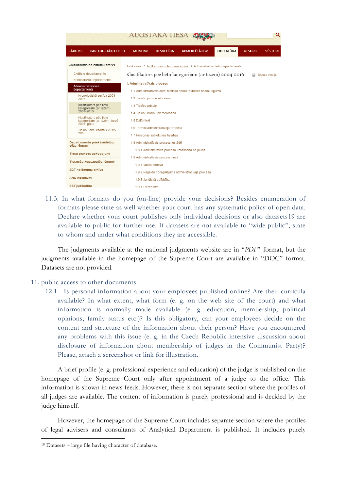| AUGSTAKA TIESA                                                                                        |                                                                                                                              |                   |                                                                              |                   |                |                |  |  |  |
|-------------------------------------------------------------------------------------------------------|------------------------------------------------------------------------------------------------------------------------------|-------------------|------------------------------------------------------------------------------|-------------------|----------------|----------------|--|--|--|
| <b>SĀKUMS</b><br><b>PAR AUGSTÄKO TIESU</b>                                                            | <b>JAUNUMI</b>                                                                                                               | <b>TIESVEDĪBA</b> | <b>APMEKLĒTĀJIEM</b>                                                         | <b>JUDIKATÜRA</b> | <b>RESURSI</b> | <b>VĒSTURE</b> |  |  |  |
| Judikatūras nolēmumu arhīvs                                                                           |                                                                                                                              |                   | Judikatūra / Judikatūras nolēmumu arhīvs / Administratīvo lietu departaments |                   |                |                |  |  |  |
| Civillietu departaments<br>Krimināllietu departaments<br>Administratīvo lietu                         | 1. Administratīvais process                                                                                                  |                   | Klasifikators pēc lietu kategorijām (ar tēzēm) 2004-2016                     |                   | e.             | Drukas versija |  |  |  |
| departaments<br>Hronoloģiskā secība 2004-<br>2016                                                     | 1.1 Administratīvais akts; faktiskā rīcība; publisko tiesību līgums<br>1.2 Tiesību jomu nošķiršana                           |                   |                                                                              |                   |                |                |  |  |  |
| Klasifikators pēc lietu<br>kategorijām (ar tēzēm)<br>2004-2016                                        | 1.3 Tiesību principi<br>1.4 Tiesību normu piemērošana                                                                        |                   |                                                                              |                   |                |                |  |  |  |
| Klasifikators pēc lietu<br>kategorijām (ar tēzēm) kopš<br>$2004.$ gada<br>Tiesību aktu rādītājs 2012- | 1.5 Dalībnieki<br>1.6 Termini administratīvajā procesā                                                                       |                   |                                                                              |                   |                |                |  |  |  |
| 2016<br>Departamentu priekšsēdētāju                                                                   | 1.7 Personas subjektīvās tiesības<br>1.8 Administratīvais process iestādē<br>1.8.1 Administratīvā procesa uzsākšana no jauna |                   |                                                                              |                   |                |                |  |  |  |
| sēžu lēmumi<br>Tiesu prakses apkopojumi                                                               |                                                                                                                              |                   |                                                                              |                   |                |                |  |  |  |
| Tiesnešu kopsapulču lēmumi                                                                            | 1.9 Administratīvais process tiesā<br>1.9.1 Valsts nodeva                                                                    |                   |                                                                              |                   |                |                |  |  |  |
| <b>ECT nolēmumu arhīvs</b><br>ANO nolēmumi                                                            | 1.9.2. Pagaidu noregulējums administratīvajā procesā<br>1.9.3 Juridiskā palīdzība                                            |                   |                                                                              |                   |                |                |  |  |  |
| EST judikatūra                                                                                        | 1.9.4 Pierādījumi                                                                                                            |                   |                                                                              |                   |                |                |  |  |  |

11.3. In what formats do you (on-line) provide your decisions? Besides enumeration of formats please state as well whether your court has any systematic policy of open data. Declare whether your court publishes only individual decisions or also datasets[19](#page-11-0) are available to public for further use. If datasets are not available to "wide public", state to whom and under what conditions they are accessible.

The judgments available at the national judgments website are in "*PDF*" format, but the judgments available in the homepage of the Supreme Court are available in "DOC" format. Datasets are not provided.

- 11. public access to other documents
	- 12.1. Is personal information about your employees published online? Are their curricula available? In what extent, what form (e. g. on the web site of the court) and what information is normally made available (e. g. education, membership, political opinions, family status etc.)? Is this obligatory, can your employees decide on the content and structure of the information about their person? Have you encountered any problems with this issue (e. g. in the Czech Republic intensive discussion about disclosure of information about membership of judges in the Communist Party)? Please, attach a screenshot or link for illustration.

A brief profile (e. g. professional experience and education) of the judge is published on the homepage of the Supreme Court only after appointment of a judge to the office. This information is shown in news feeds. However, there is not separate section where the profiles of all judges are available. The content of information is purely professional and is decided by the judge himself.

However, the homepage of the Supreme Court includes separate section where the profiles of legal advisers and consultants of Analytical Department is published. It includes purely

<span id="page-11-0"></span> <sup>19</sup> Datasets – large file having character of database.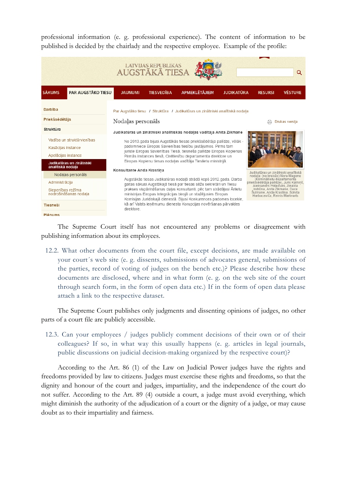professional information (e. g. professional experience). The content of information to be published is decided by the chairlady and the respective employee. Example of the profile:



The Supreme Court itself has not encountered any problems or disagreement with publishing information about its employees.

12.2. What other documents from the court file, except decisions, are made available on your court´s web site (e. g. dissents, submissions of advocates general, submissions of the parties, record of voting of judges on the bench etc.)? Please describe how these documents are disclosed, where and in what form (e. g. on the web site of the court through search form, in the form of open data etc.) If in the form of open data please attach a link to the respective dataset.

The Supreme Court publishes only judgments and dissenting opinions of judges, no other parts of a court file are publicly accessible.

12.3. Can your employees / judges publicly comment decisions of their own or of their colleagues? If so, in what way this usually happens (e. g. articles in legal journals, public discussions on judicial decision-making organized by the respective court)?

According to the Art. 86 (1) of the Law on Judicial Power judges have the rights and freedoms provided by law to citizens. Judges must exercise these rights and freedoms, so that the dignity and honour of the court and judges, impartiality, and the independence of the court do not suffer. According to the Art. 89 (4) outside a court, a judge must avoid everything, which might diminish the authority of the adjudication of a court or the dignity of a judge, or may cause doubt as to their impartiality and fairness.